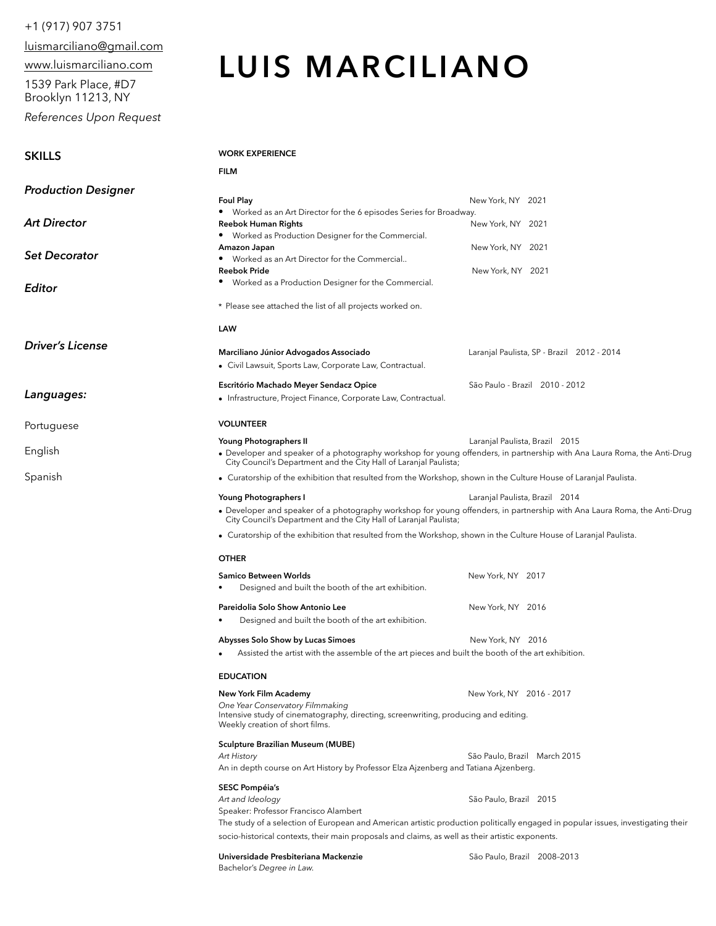## +1 (917) 907 3751

luismarciliano@gmail.com

www.luismarciliano.com

1539 Park Place, #D7 Brooklyn 11213, NY

**SKILLS** 

*References Upon Request* 

# **LUIS MARCILIANO**

### **WORK EXPERIENCE**

**OTHER** 

**EDUCATION** 

**SESC Pompéia's** 

Bachelor's *Degree in Law.*

*One Year Conservatory Filmmaking*

Speaker: Professor Francisco Alambert

Weekly creation of short films. **Sculpture Brazilian Museum (MUBE)** 

|                            | <b>FILM</b>                                                                                                                                                                                   |                                            |
|----------------------------|-----------------------------------------------------------------------------------------------------------------------------------------------------------------------------------------------|--------------------------------------------|
| <b>Production Designer</b> |                                                                                                                                                                                               |                                            |
|                            | <b>Foul Play</b>                                                                                                                                                                              | New York, NY 2021                          |
| Art Director               | Worked as an Art Director for the 6 episodes Series for Broadway.                                                                                                                             |                                            |
|                            | <b>Reebok Human Rights</b>                                                                                                                                                                    | New York, NY 2021                          |
|                            | Worked as Production Designer for the Commercial.                                                                                                                                             |                                            |
| Set Decorator              | Amazon Japan                                                                                                                                                                                  | New York, NY 2021                          |
|                            | Worked as an Art Director for the Commercial                                                                                                                                                  |                                            |
|                            | <b>Reebok Pride</b>                                                                                                                                                                           | New York, NY 2021                          |
| Editor                     | Worked as a Production Designer for the Commercial.                                                                                                                                           |                                            |
|                            | * Please see attached the list of all projects worked on.                                                                                                                                     |                                            |
|                            | LAW                                                                                                                                                                                           |                                            |
| Driver's License           |                                                                                                                                                                                               |                                            |
|                            | Marciliano Júnior Advogados Associado                                                                                                                                                         | Laranjal Paulista, SP - Brazil 2012 - 2014 |
|                            | • Civil Lawsuit, Sports Law, Corporate Law, Contractual.                                                                                                                                      |                                            |
| Languages:                 | Escritório Machado Meyer Sendacz Opice                                                                                                                                                        | São Paulo - Brazil 2010 - 2012             |
|                            | • Infrastructure, Project Finance, Corporate Law, Contractual.                                                                                                                                |                                            |
| Portuguese                 | <b>VOLUNTEER</b>                                                                                                                                                                              |                                            |
|                            | Young Photographers II                                                                                                                                                                        | Laranjal Paulista, Brazil 2015             |
| English                    | • Developer and speaker of a photography workshop for young offenders, in partnership with Ana Laura Roma, the Anti-Drug<br>City Council's Department and the City Hall of Laranjal Paulista; |                                            |
| Spanish                    | • Curatorship of the exhibition that resulted from the Workshop, shown in the Culture House of Laranjal Paulista.                                                                             |                                            |
|                            | Young Photographers I                                                                                                                                                                         | Laranjal Paulista, Brazil 2014             |
|                            | • Developer and speaker of a photography workshop for young offenders, in partnership with Ana Laura Roma, the Anti-Drug<br>City Council's Department and the City Hall of Laranjal Paulista; |                                            |
|                            | • Curatorship of the exhibition that resulted from the Workshop, shown in the Culture House of Laranjal Paulista.                                                                             |                                            |

**Samico Between Worlds**  New York, NY 2017

**Pareidolia Solo Show Antonio Lee 2016 120 New York, NY 2016** 

Abysses Solo Show by Lucas Simoes **New York, NY 2016** 

Intensive study of cinematography, directing, screenwriting, producing and editing.

An in depth course on Art History by Professor Elza Ajzenberg and Tatiana Ajzenberg.

*Art and Ideology* São Paulo, Brazil 2015

socio-historical contexts, their main proposals and claims, as well as their artistic exponents. **Universidade Presbiteriana Mackenzie** São Paulo, Brazil 2008–2013

**New York Film Academy New York, NY 2016 - 2017** 

*Art History* São Paulo, Brazil March 2015

The study of a selection of European and American artistic production politically engaged in popular issues, investigating their

Assisted the artist with the assemble of the art pieces and built the booth of the art exhibition.

• Designed and built the booth of the art exhibition.

Designed and built the booth of the art exhibition.